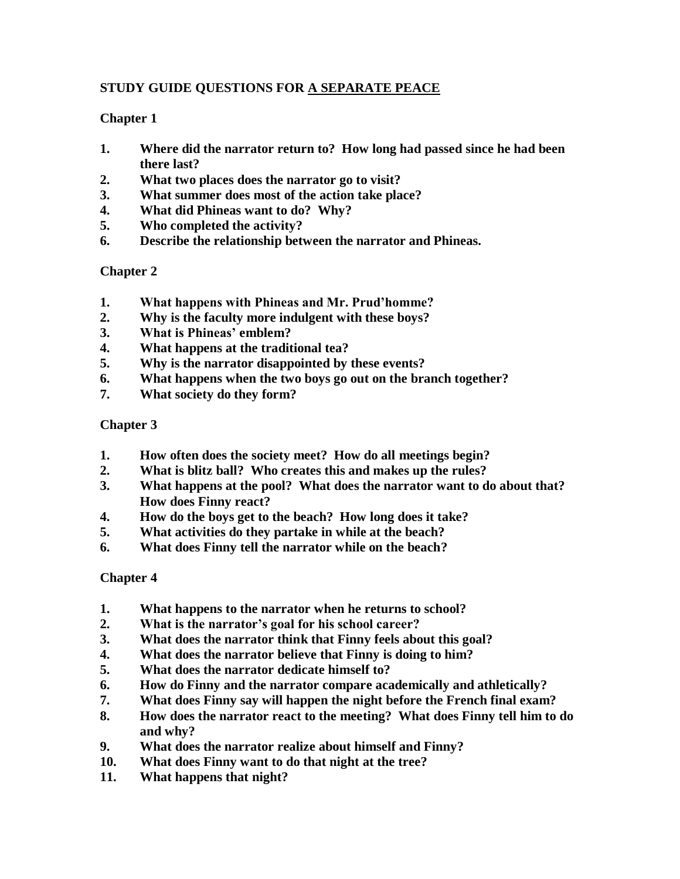# **STUDY GUIDE QUESTIONS FOR A SEPARATE PEACE**

## **Chapter 1**

- **1. Where did the narrator return to? How long had passed since he had been there last?**
- **2. What two places does the narrator go to visit?**
- **3. What summer does most of the action take place?**
- **4. What did Phineas want to do? Why?**
- **5. Who completed the activity?**
- **6. Describe the relationship between the narrator and Phineas.**

# **Chapter 2**

- **1. What happens with Phineas and Mr. Prud'homme?**
- **2. Why is the faculty more indulgent with these boys?**
- **3. What is Phineas' emblem?**
- **4. What happens at the traditional tea?**
- **5. Why is the narrator disappointed by these events?**
- **6. What happens when the two boys go out on the branch together?**
- **7. What society do they form?**

## **Chapter 3**

- **1. How often does the society meet? How do all meetings begin?**
- **2. What is blitz ball? Who creates this and makes up the rules?**
- **3. What happens at the pool? What does the narrator want to do about that? How does Finny react?**
- **4. How do the boys get to the beach? How long does it take?**
- **5. What activities do they partake in while at the beach?**
- **6. What does Finny tell the narrator while on the beach?**

## **Chapter 4**

- **1. What happens to the narrator when he returns to school?**
- **2. What is the narrator's goal for his school career?**
- **3. What does the narrator think that Finny feels about this goal?**
- **4. What does the narrator believe that Finny is doing to him?**
- **5. What does the narrator dedicate himself to?**
- **6. How do Finny and the narrator compare academically and athletically?**
- **7. What does Finny say will happen the night before the French final exam?**
- **8. How does the narrator react to the meeting? What does Finny tell him to do and why?**
- **9. What does the narrator realize about himself and Finny?**
- **10. What does Finny want to do that night at the tree?**
- **11. What happens that night?**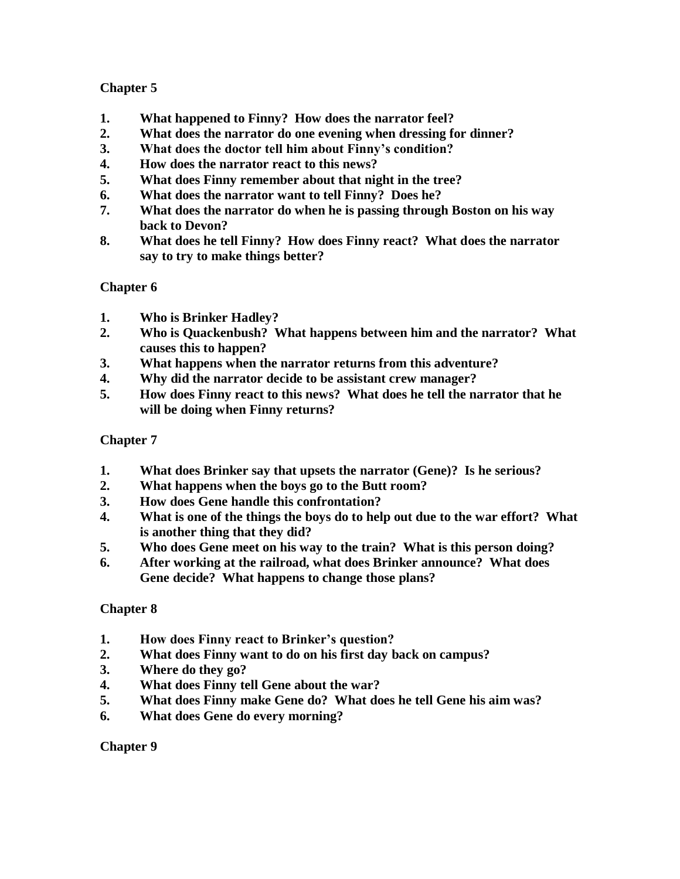# **Chapter 5**

- **1. What happened to Finny? How does the narrator feel?**
- **2. What does the narrator do one evening when dressing for dinner?**
- **3. What does the doctor tell him about Finny's condition?**
- **4. How does the narrator react to this news?**
- **5. What does Finny remember about that night in the tree?**
- **6. What does the narrator want to tell Finny? Does he?**
- **7. What does the narrator do when he is passing through Boston on his way back to Devon?**
- **8. What does he tell Finny? How does Finny react? What does the narrator say to try to make things better?**

## **Chapter 6**

- **1. Who is Brinker Hadley?**
- **2. Who is Quackenbush? What happens between him and the narrator? What causes this to happen?**
- **3. What happens when the narrator returns from this adventure?**
- **4. Why did the narrator decide to be assistant crew manager?**
- **5. How does Finny react to this news? What does he tell the narrator that he will be doing when Finny returns?**

## **Chapter 7**

- **1. What does Brinker say that upsets the narrator (Gene)? Is he serious?**
- **2. What happens when the boys go to the Butt room?**
- **3. How does Gene handle this confrontation?**
- **4. What is one of the things the boys do to help out due to the war effort? What is another thing that they did?**
- **5. Who does Gene meet on his way to the train? What is this person doing?**
- **6. After working at the railroad, what does Brinker announce? What does Gene decide? What happens to change those plans?**

## **Chapter 8**

- **1. How does Finny react to Brinker's question?**
- **2. What does Finny want to do on his first day back on campus?**
- **3. Where do they go?**
- **4. What does Finny tell Gene about the war?**
- **5. What does Finny make Gene do? What does he tell Gene his aim was?**
- **6. What does Gene do every morning?**

## **Chapter 9**